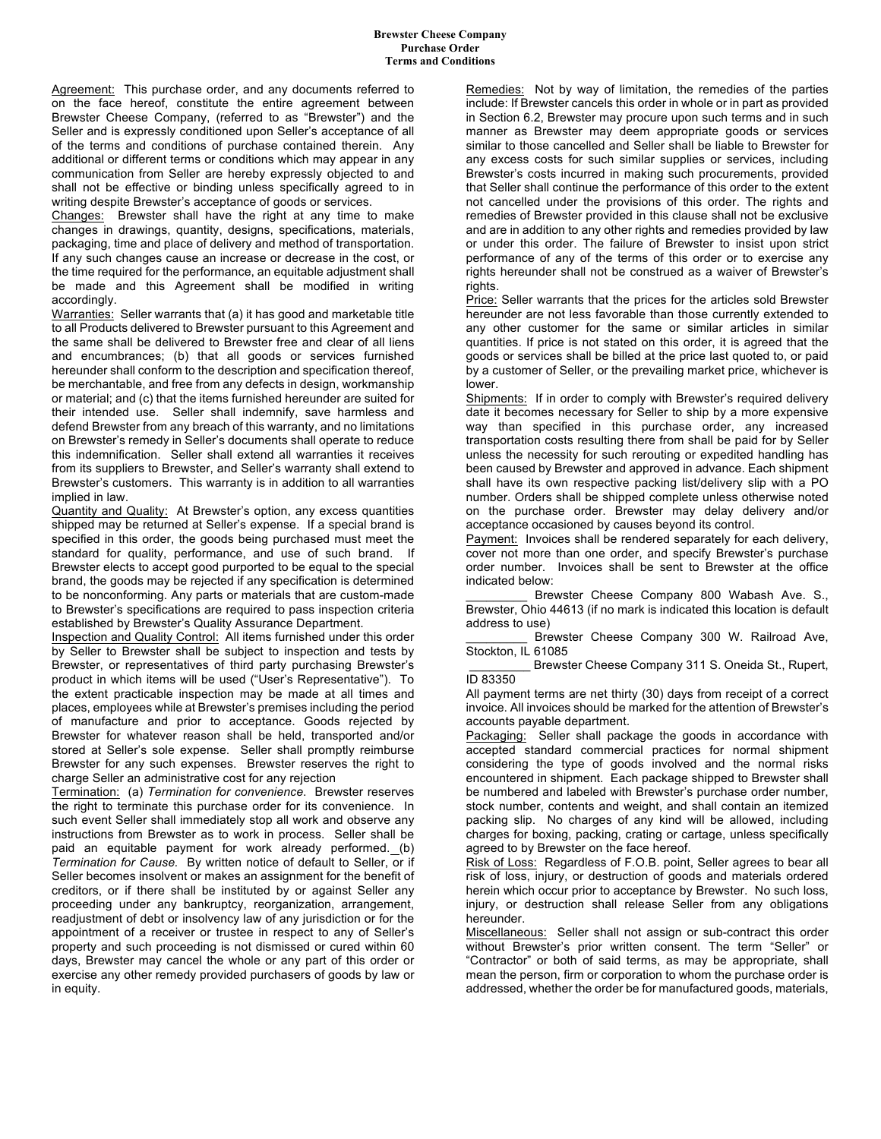Agreement: This purchase order, and any documents referred to on the face hereof, constitute the entire agreement between Brewster Cheese Company, (referred to as "Brewster") and the Seller and is expressly conditioned upon Seller's acceptance of all of the terms and conditions of purchase contained therein. Any additional or different terms or conditions which may appear in any communication from Seller are hereby expressly objected to and shall not be effective or binding unless specifically agreed to in writing despite Brewster's acceptance of goods or services.

Changes: Brewster shall have the right at any time to make changes in drawings, quantity, designs, specifications, materials, packaging, time and place of delivery and method of transportation. If any such changes cause an increase or decrease in the cost, or the time required for the performance, an equitable adjustment shall be made and this Agreement shall be modified in writing accordingly.

Warranties: Seller warrants that (a) it has good and marketable title to all Products delivered to Brewster pursuant to this Agreement and the same shall be delivered to Brewster free and clear of all liens and encumbrances; (b) that all goods or services furnished hereunder shall conform to the description and specification thereof, be merchantable, and free from any defects in design, workmanship or material; and (c) that the items furnished hereunder are suited for their intended use. Seller shall indemnify, save harmless and defend Brewster from any breach of this warranty, and no limitations on Brewster's remedy in Seller's documents shall operate to reduce this indemnification. Seller shall extend all warranties it receives from its suppliers to Brewster, and Seller's warranty shall extend to Brewster's customers. This warranty is in addition to all warranties implied in law.

Quantity and Quality: At Brewster's option, any excess quantities shipped may be returned at Seller's expense. If a special brand is specified in this order, the goods being purchased must meet the standard for quality, performance, and use of such brand. If Brewster elects to accept good purported to be equal to the special brand, the goods may be rejected if any specification is determined to be nonconforming. Any parts or materials that are custom-made to Brewster's specifications are required to pass inspection criteria established by Brewster's Quality Assurance Department.

Inspection and Quality Control: All items furnished under this order by Seller to Brewster shall be subject to inspection and tests by Brewster, or representatives of third party purchasing Brewster's product in which items will be used ("User's Representative"). To the extent practicable inspection may be made at all times and places, employees while at Brewster's premises including the period of manufacture and prior to acceptance. Goods rejected by Brewster for whatever reason shall be held, transported and/or stored at Seller's sole expense. Seller shall promptly reimburse Brewster for any such expenses. Brewster reserves the right to charge Seller an administrative cost for any rejection

Termination: (a) *Termination for convenience*. Brewster reserves the right to terminate this purchase order for its convenience. In such event Seller shall immediately stop all work and observe any instructions from Brewster as to work in process. Seller shall be paid an equitable payment for work already performed. (b) *Termination for Cause.* By written notice of default to Seller, or if Seller becomes insolvent or makes an assignment for the benefit of creditors, or if there shall be instituted by or against Seller any proceeding under any bankruptcy, reorganization, arrangement, readjustment of debt or insolvency law of any jurisdiction or for the appointment of a receiver or trustee in respect to any of Seller's property and such proceeding is not dismissed or cured within 60 days, Brewster may cancel the whole or any part of this order or exercise any other remedy provided purchasers of goods by law or in equity.

Remedies: Not by way of limitation, the remedies of the parties include: If Brewster cancels this order in whole or in part as provided in Section 6.2, Brewster may procure upon such terms and in such manner as Brewster may deem appropriate goods or services similar to those cancelled and Seller shall be liable to Brewster for any excess costs for such similar supplies or services, including Brewster's costs incurred in making such procurements, provided that Seller shall continue the performance of this order to the extent not cancelled under the provisions of this order. The rights and remedies of Brewster provided in this clause shall not be exclusive and are in addition to any other rights and remedies provided by law or under this order. The failure of Brewster to insist upon strict performance of any of the terms of this order or to exercise any rights hereunder shall not be construed as a waiver of Brewster's rights.

Price: Seller warrants that the prices for the articles sold Brewster hereunder are not less favorable than those currently extended to any other customer for the same or similar articles in similar quantities. If price is not stated on this order, it is agreed that the goods or services shall be billed at the price last quoted to, or paid by a customer of Seller, or the prevailing market price, whichever is lower.

Shipments: If in order to comply with Brewster's required delivery date it becomes necessary for Seller to ship by a more expensive way than specified in this purchase order, any increased transportation costs resulting there from shall be paid for by Seller unless the necessity for such rerouting or expedited handling has been caused by Brewster and approved in advance. Each shipment shall have its own respective packing list/delivery slip with a PO number. Orders shall be shipped complete unless otherwise noted on the purchase order. Brewster may delay delivery and/or acceptance occasioned by causes beyond its control.

Payment: Invoices shall be rendered separately for each delivery, cover not more than one order, and specify Brewster's purchase order number. Invoices shall be sent to Brewster at the office indicated below:

Brewster Cheese Company 800 Wabash Ave. S., Brewster, Ohio 44613 (if no mark is indicated this location is default address to use)

Brewster Cheese Company 300 W. Railroad Ave, Stockton, IL 61085

\_\_\_\_\_\_\_\_\_ Brewster Cheese Company 311 S. Oneida St., Rupert, ID 83350

All payment terms are net thirty (30) days from receipt of a correct invoice. All invoices should be marked for the attention of Brewster's accounts payable department.

Packaging: Seller shall package the goods in accordance with accepted standard commercial practices for normal shipment considering the type of goods involved and the normal risks encountered in shipment. Each package shipped to Brewster shall be numbered and labeled with Brewster's purchase order number, stock number, contents and weight, and shall contain an itemized packing slip. No charges of any kind will be allowed, including charges for boxing, packing, crating or cartage, unless specifically agreed to by Brewster on the face hereof.

Risk of Loss: Regardless of F.O.B. point, Seller agrees to bear all risk of loss, injury, or destruction of goods and materials ordered herein which occur prior to acceptance by Brewster. No such loss, injury, or destruction shall release Seller from any obligations hereunder.

Miscellaneous: Seller shall not assign or sub-contract this order without Brewster's prior written consent. The term "Seller" or "Contractor" or both of said terms, as may be appropriate, shall mean the person, firm or corporation to whom the purchase order is addressed, whether the order be for manufactured goods, materials,